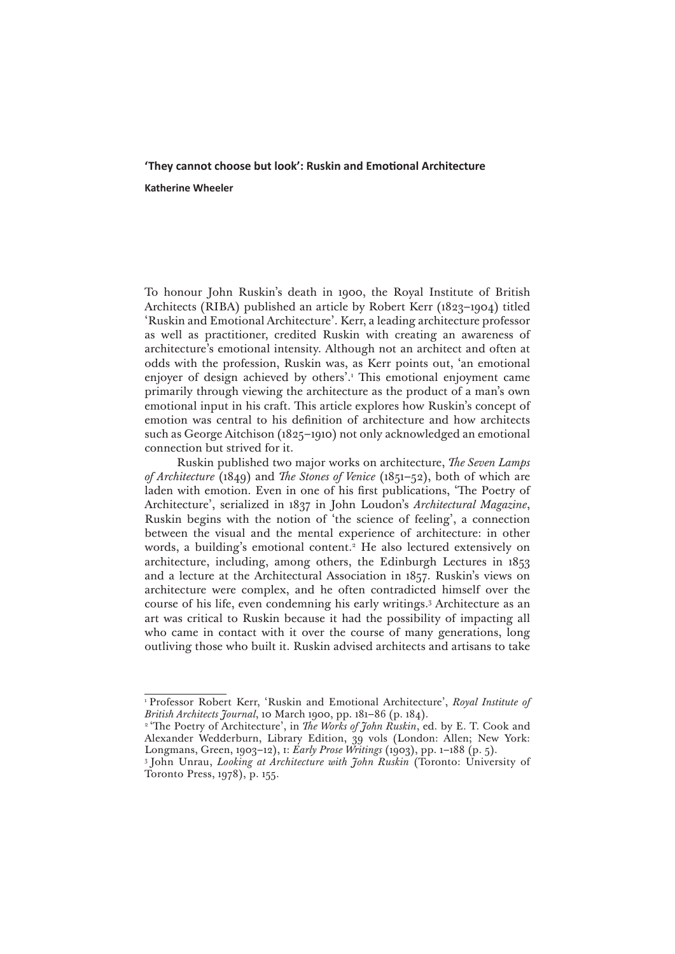# **'They cannot choose but look': Ruskin and Emotional Architecture**

**Katherine Wheeler**

To honour John Ruskin's death in 1900, the Royal Institute of British Architects (RIBA) published an article by Robert Kerr (1823–1904) titled 'Ruskin and Emotional Architecture'. Kerr, a leading architecture professor as well as practitioner, credited Ruskin with creating an awareness of architecture's emotional intensity. Although not an architect and often at odds with the profession, Ruskin was, as Kerr points out, 'an emotional enjoyer of design achieved by others'.1 This emotional enjoyment came primarily through viewing the architecture as the product of a man's own emotional input in his craft. This article explores how Ruskin's concept of emotion was central to his definition of architecture and how architects such as George Aitchison (1825–1910) not only acknowledged an emotional connection but strived for it.

Ruskin published two major works on architecture, *The Seven Lamps of Architecture* (1849) and *The Stones of Venice* (1851–52), both of which are laden with emotion. Even in one of his first publications, 'The Poetry of Architecture', serialized in 1837 in John Loudon's *Architectural Magazine*, Ruskin begins with the notion of 'the science of feeling', a connection between the visual and the mental experience of architecture: in other words, a building's emotional content.<sup>2</sup> He also lectured extensively on architecture, including, among others, the Edinburgh Lectures in 1853 and a lecture at the Architectural Association in 1857. Ruskin's views on architecture were complex, and he often contradicted himself over the course of his life, even condemning his early writings.3 Architecture as an art was critical to Ruskin because it had the possibility of impacting all who came in contact with it over the course of many generations, long outliving those who built it. Ruskin advised architects and artisans to take

<sup>1</sup> Professor Robert Kerr, 'Ruskin and Emotional Architecture', *Royal Institute of British Architects Journal*, 10 March 1900, pp. 181–86 (p. 184).

<sup>&</sup>lt;sup>2</sup> 'The Poetry of Architecture', in *The Works of John Ruskin*, ed. by E. T. Cook and Alexander Wedderburn, Library Edition, 39 vols (London: Allen; New York: Longmans, Green, 1903–12), i: *Early Prose Writings* (1903), pp. 1–188 (p. 5).

<sup>3</sup> John Unrau, *Looking at Architecture with John Ruskin* (Toronto: University of Toronto Press, 1978), p. 155.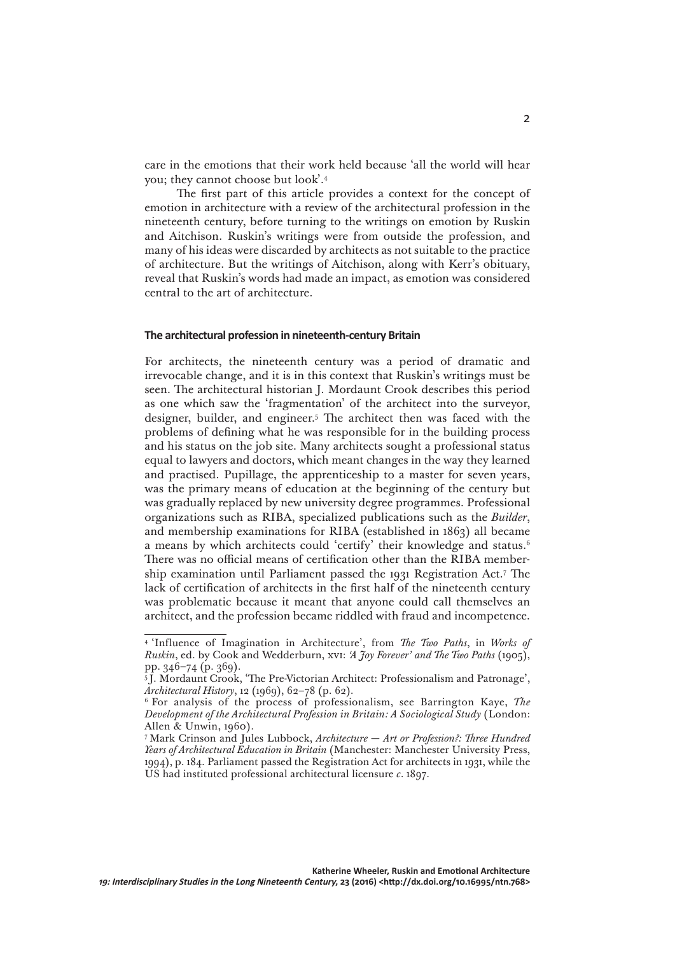care in the emotions that their work held because 'all the world will hear you; they cannot choose but look'.4

The first part of this article provides a context for the concept of emotion in architecture with a review of the architectural profession in the nineteenth century, before turning to the writings on emotion by Ruskin and Aitchison. Ruskin's writings were from outside the profession, and many of his ideas were discarded by architects as not suitable to the practice of architecture. But the writings of Aitchison, along with Kerr's obituary, reveal that Ruskin's words had made an impact, as emotion was considered central to the art of architecture.

### **The architectural profession in nineteenth-century Britain**

For architects, the nineteenth century was a period of dramatic and irrevocable change, and it is in this context that Ruskin's writings must be seen. The architectural historian J. Mordaunt Crook describes this period as one which saw the 'fragmentation' of the architect into the surveyor, designer, builder, and engineer.5 The architect then was faced with the problems of defining what he was responsible for in the building process and his status on the job site. Many architects sought a professional status equal to lawyers and doctors, which meant changes in the way they learned and practised. Pupillage, the apprenticeship to a master for seven years, was the primary means of education at the beginning of the century but was gradually replaced by new university degree programmes. Professional organizations such as RIBA, specialized publications such as the *Builder*, and membership examinations for RIBA (established in 1863) all became a means by which architects could 'certify' their knowledge and status.<sup>6</sup> There was no official means of certification other than the RIBA membership examination until Parliament passed the 1931 Registration Act.7 The lack of certification of architects in the first half of the nineteenth century was problematic because it meant that anyone could call themselves an architect, and the profession became riddled with fraud and incompetence.

<sup>4 &#</sup>x27;Influence of Imagination in Architecture', from *The Two Paths*, in *Works of Ruskin*, ed. by Cook and Wedderburn, xvi: *'A Joy Forever' and The Two Paths* (1905), pp. 346–74 (p. 369).

<sup>5</sup> J. Mordaunt Crook, 'The Pre-Victorian Architect: Professionalism and Patronage', *Architectural History*, 12 (1969), 62–78 (p. 62).

<sup>6</sup> For analysis of the process of professionalism, see Barrington Kaye, *The Development of the Architectural Profession in Britain: A Sociological Study* (London: Allen & Unwin, 1960).

<sup>7</sup> Mark Crinson and Jules Lubbock, *Architecture* — *Art or Profession?: Three Hundred Years of Architectural Education in Britain* (Manchester: Manchester University Press, 1994), p. 184. Parliament passed the Registration Act for architects in 1931, while the US had instituted professional architectural licensure *c*. 1897.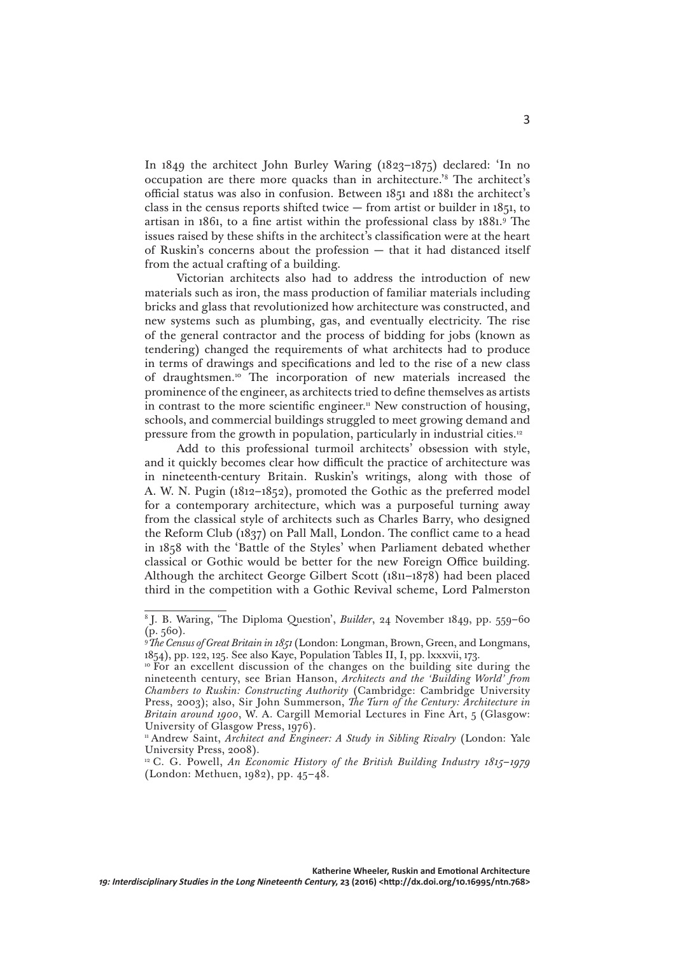In 1849 the architect John Burley Waring (1823–1875) declared: 'In no occupation are there more quacks than in architecture.'8 The architect's official status was also in confusion. Between 1851 and 1881 the architect's class in the census reports shifted twice  $-$  from artist or builder in  $1851$ , to artisan in 1861, to a fine artist within the professional class by 1881.9 The issues raised by these shifts in the architect's classification were at the heart of Ruskin's concerns about the profession — that it had distanced itself from the actual crafting of a building.

Victorian architects also had to address the introduction of new materials such as iron, the mass production of familiar materials including bricks and glass that revolutionized how architecture was constructed, and new systems such as plumbing, gas, and eventually electricity. The rise of the general contractor and the process of bidding for jobs (known as tendering) changed the requirements of what architects had to produce in terms of drawings and specifications and led to the rise of a new class of draughtsmen.10 The incorporation of new materials increased the prominence of the engineer, as architects tried to define themselves as artists in contrast to the more scientific engineer.<sup>11</sup> New construction of housing, schools, and commercial buildings struggled to meet growing demand and pressure from the growth in population, particularly in industrial cities.12

Add to this professional turmoil architects' obsession with style, and it quickly becomes clear how difficult the practice of architecture was in nineteenth-century Britain. Ruskin's writings, along with those of A. W. N. Pugin (1812–1852), promoted the Gothic as the preferred model for a contemporary architecture, which was a purposeful turning away from the classical style of architects such as Charles Barry, who designed the Reform Club (1837) on Pall Mall, London. The conflict came to a head in 1858 with the 'Battle of the Styles' when Parliament debated whether classical or Gothic would be better for the new Foreign Office building. Although the architect George Gilbert Scott (1811–1878) had been placed third in the competition with a Gothic Revival scheme, Lord Palmerston

<sup>8</sup> J. B. Waring, 'The Diploma Question', *Builder*, 24 November 1849, pp. 559–60  $(p. 560)$ .

<sup>9</sup>*The Census of Great Britain in 1851* (London: Longman, Brown, Green, and Longmans, 1854), pp. 122, 125. See also Kaye, Population Tables II, I, pp. lxxxvii, 173.

<sup>&</sup>lt;sup>10</sup> For an excellent discussion of the changes on the building site during the nineteenth century, see Brian Hanson, *Architects and the 'Building World' from Chambers to Ruskin: Constructing Authority* (Cambridge: Cambridge University Press, 2003); also, Sir John Summerson, *The Turn of the Century: Architecture in Britain around 1900*, W. A. Cargill Memorial Lectures in Fine Art, 5 (Glasgow: University of Glasgow Press, 1976).

<sup>&</sup>lt;sup>11</sup> Andrew Saint, *Architect and Engineer: A Study in Sibling Rivalry* (London: Yale University Press, 2008).

<sup>&</sup>lt;sup>12</sup> C. G. Powell, *An Economic History of the British Building Industry 1815–1979* (London: Methuen, 1982), pp. 45–48.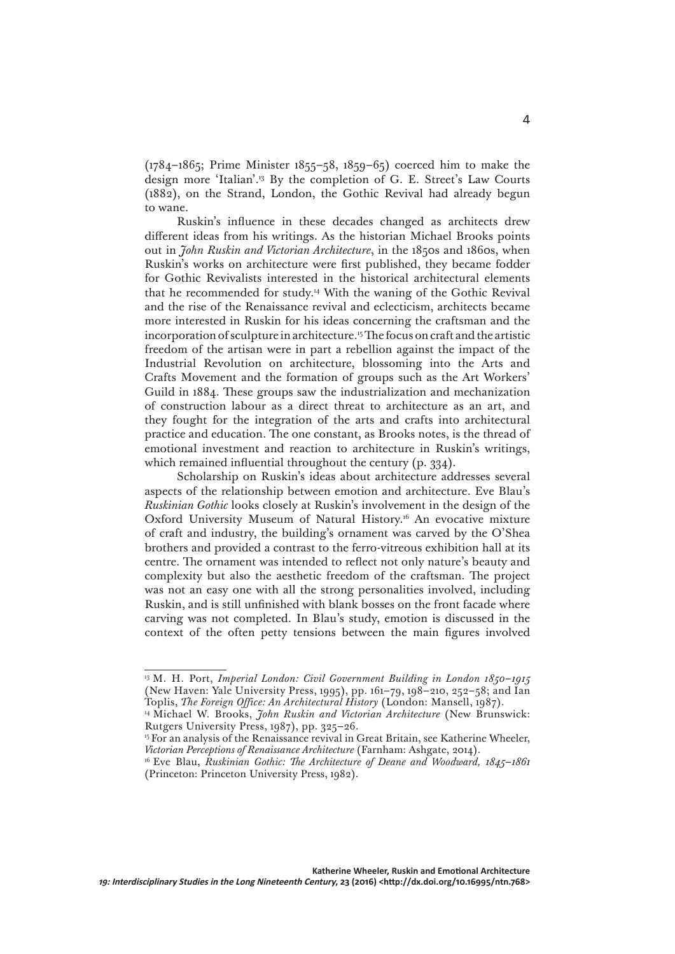(1784–1865; Prime Minister 1855–58, 1859–65) coerced him to make the design more 'Italian'.13 By the completion of G. E. Street's Law Courts (1882), on the Strand, London, the Gothic Revival had already begun to wane.

Ruskin's influence in these decades changed as architects drew different ideas from his writings. As the historian Michael Brooks points out in *John Ruskin and Victorian Architecture*, in the 1850s and 1860s, when Ruskin's works on architecture were first published, they became fodder for Gothic Revivalists interested in the historical architectural elements that he recommended for study.14 With the waning of the Gothic Revival and the rise of the Renaissance revival and eclecticism, architects became more interested in Ruskin for his ideas concerning the craftsman and the incorporation of sculpture in architecture.15 The focus on craft and the artistic freedom of the artisan were in part a rebellion against the impact of the Industrial Revolution on architecture, blossoming into the Arts and Crafts Movement and the formation of groups such as the Art Workers' Guild in 1884. These groups saw the industrialization and mechanization of construction labour as a direct threat to architecture as an art, and they fought for the integration of the arts and crafts into architectural practice and education. The one constant, as Brooks notes, is the thread of emotional investment and reaction to architecture in Ruskin's writings, which remained influential throughout the century (p. 334).

Scholarship on Ruskin's ideas about architecture addresses several aspects of the relationship between emotion and architecture. Eve Blau's *Ruskinian Gothic* looks closely at Ruskin's involvement in the design of the Oxford University Museum of Natural History.<sup>16</sup> An evocative mixture of craft and industry, the building's ornament was carved by the O'Shea brothers and provided a contrast to the ferro-vitreous exhibition hall at its centre. The ornament was intended to reflect not only nature's beauty and complexity but also the aesthetic freedom of the craftsman. The project was not an easy one with all the strong personalities involved, including Ruskin, and is still unfinished with blank bosses on the front facade where carving was not completed. In Blau's study, emotion is discussed in the context of the often petty tensions between the main figures involved

<sup>&</sup>lt;sup>13</sup> M. H. Port, *Imperial London: Civil Government Building in London 1850-1915* (New Haven: Yale University Press, 1995), pp. 161–79, 198–210, 252–58; and Ian Toplis, *The Foreign Office: An Architectural History* (London: Mansell, 1987).

<sup>&</sup>lt;sup>14</sup> Michael W. Brooks, *John Ruskin and Victorian Architecture* (New Brunswick: Rutgers University Press, 1987), pp. 325–26.

<sup>&</sup>lt;sup>15</sup> For an analysis of the Renaissance revival in Great Britain, see Katherine Wheeler, *Victorian Perceptions of Renaissance Architecture* (Farnham: Ashgate, 2014).

<sup>16</sup> Eve Blau, *Ruskinian Gothic: The Architecture of Deane and Woodward, 1845*–*1861* (Princeton: Princeton University Press, 1982).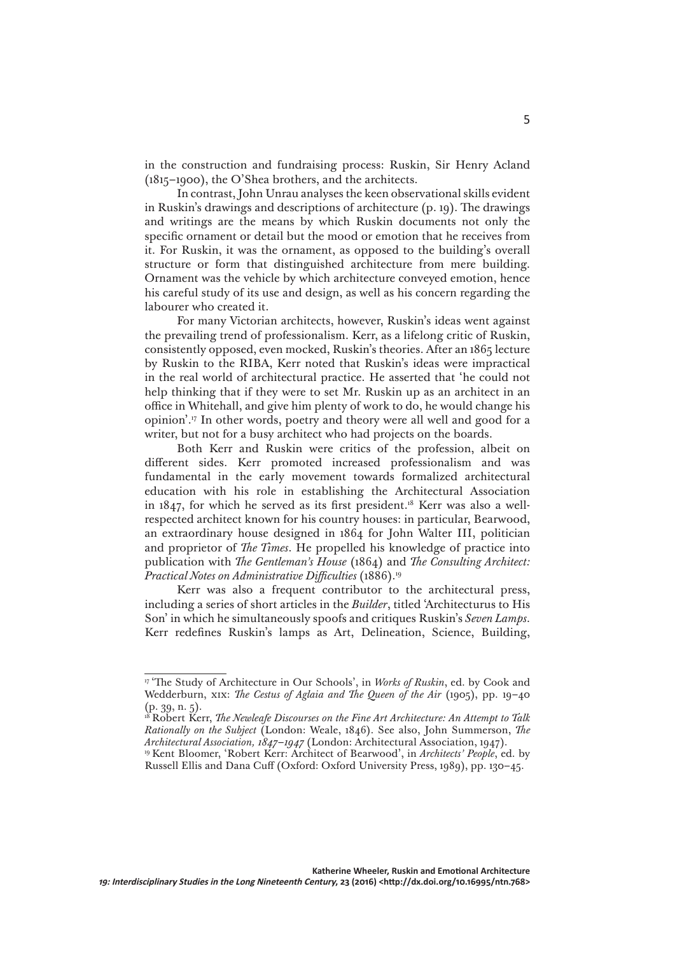in the construction and fundraising process: Ruskin, Sir Henry Acland (1815–1900), the O'Shea brothers, and the architects.

In contrast, John Unrau analyses the keen observational skills evident in Ruskin's drawings and descriptions of architecture (p. 19). The drawings and writings are the means by which Ruskin documents not only the specific ornament or detail but the mood or emotion that he receives from it. For Ruskin, it was the ornament, as opposed to the building's overall structure or form that distinguished architecture from mere building. Ornament was the vehicle by which architecture conveyed emotion, hence his careful study of its use and design, as well as his concern regarding the labourer who created it.

For many Victorian architects, however, Ruskin's ideas went against the prevailing trend of professionalism. Kerr, as a lifelong critic of Ruskin, consistently opposed, even mocked, Ruskin's theories. After an 1865 lecture by Ruskin to the RIBA, Kerr noted that Ruskin's ideas were impractical in the real world of architectural practice. He asserted that 'he could not help thinking that if they were to set Mr. Ruskin up as an architect in an office in Whitehall, and give him plenty of work to do, he would change his opinion'.17 In other words, poetry and theory were all well and good for a writer, but not for a busy architect who had projects on the boards.

Both Kerr and Ruskin were critics of the profession, albeit on different sides. Kerr promoted increased professionalism and was fundamental in the early movement towards formalized architectural education with his role in establishing the Architectural Association in  $1847$ , for which he served as its first president.<sup>18</sup> Kerr was also a wellrespected architect known for his country houses: in particular, Bearwood, an extraordinary house designed in 1864 for John Walter III, politician and proprietor of *The Times*. He propelled his knowledge of practice into publication with *The Gentleman's House* (1864) and *The Consulting Architect: Practical Notes on Administrative Difficulties* (1886).19

Kerr was also a frequent contributor to the architectural press, including a series of short articles in the *Builder*, titled 'Architecturus to His Son' in which he simultaneously spoofs and critiques Ruskin's *Seven Lamps*. Kerr redefines Ruskin's lamps as Art, Delineation, Science, Building,

<sup>17 &#</sup>x27;The Study of Architecture in Our Schools', in *Works of Ruskin*, ed. by Cook and Wedderburn, xix: *The Cestus of Aglaia and The Queen of the Air* (1905), pp. 19–40 (p. 39, n. 5).

<sup>18</sup> Robert Kerr, *The Newleafe Discourses on the Fine Art Architecture: An Attempt to Talk Rationally on the Subject* (London: Weale, 1846). See also, John Summerson, *The Architectural Association, 1847–1947* (London: Architectural Association, 1947).

<sup>19</sup> Kent Bloomer, 'Robert Kerr: Architect of Bearwood', in *Architects' People*, ed. by Russell Ellis and Dana Cuff (Oxford: Oxford University Press, 1989), pp. 130–45.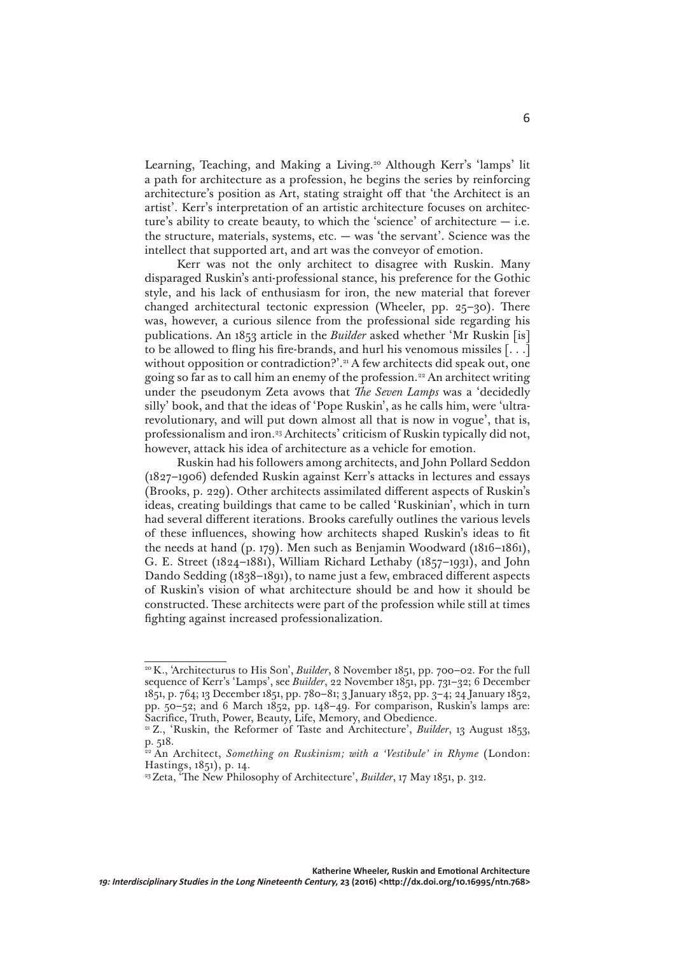Learning, Teaching, and Making a Living.<sup>20</sup> Although Kerr's 'lamps' lit a path for architecture as a profession, he begins the series by reinforcing architecture's position as Art, stating straight off that 'the Architect is an artist'. Kerr's interpretation of an artistic architecture focuses on architecture's ability to create beauty, to which the 'science' of architecture  $-$  i.e. the structure, materials, systems, etc. — was 'the servant'. Science was the intellect that supported art, and art was the conveyor of emotion.

Kerr was not the only architect to disagree with Ruskin. Many disparaged Ruskin's anti-professional stance, his preference for the Gothic style, and his lack of enthusiasm for iron, the new material that forever changed architectural tectonic expression (Wheeler, pp. 25–30). There was, however, a curious silence from the professional side regarding his publications. An 1853 article in the *Builder* asked whether 'Mr Ruskin [is] to be allowed to fling his fire-brands, and hurl his venomous missiles [. . .] without opposition or contradiction?'.<sup>21</sup> A few architects did speak out, one going so far as to call him an enemy of the profession.22 An architect writing under the pseudonym Zeta avows that *The Seven Lamps* was a 'decidedly silly' book, and that the ideas of 'Pope Ruskin', as he calls him, were 'ultrarevolutionary, and will put down almost all that is now in vogue', that is, professionalism and iron.<sup>23</sup> Architects' criticism of Ruskin typically did not, however, attack his idea of architecture as a vehicle for emotion.

Ruskin had his followers among architects, and John Pollard Seddon (1827–1906) defended Ruskin against Kerr's attacks in lectures and essays (Brooks, p. 229). Other architects assimilated different aspects of Ruskin's ideas, creating buildings that came to be called 'Ruskinian', which in turn had several different iterations. Brooks carefully outlines the various levels of these influences, showing how architects shaped Ruskin's ideas to fit the needs at hand (p. 179). Men such as Benjamin Woodward (1816–1861), G. E. Street (1824–1881), William Richard Lethaby (1857–1931), and John Dando Sedding (1838–1891), to name just a few, embraced different aspects of Ruskin's vision of what architecture should be and how it should be constructed. These architects were part of the profession while still at times fighting against increased professionalization.

<sup>20</sup> K., 'Architecturus to His Son', *Builder*, 8 November 1851, pp. 700–02. For the full sequence of Kerr's 'Lamps', see *Builder*, 22 November 1851, pp. 731–32; 6 December 1851, p. 764; 13 December 1851, pp. 780–81; 3 January 1852, pp. 3–4; 24 January 1852, pp. 50–52; and 6 March 1852, pp. 148–49. For comparison, Ruskin's lamps are: Sacrifice, Truth, Power, Beauty, Life, Memory, and Obedience.

<sup>21</sup> Z., 'Ruskin, the Reformer of Taste and Architecture', *Builder*, 13 August 1853, p. 518.

<sup>&</sup>lt;sup>22</sup> An Architect, *Something on Ruskinism; with a 'Vestibule' in Rhyme* (London: Hastings, 1851), p. 14.

<sup>23</sup> Zeta, 'The New Philosophy of Architecture', *Builder*, 17 May 1851, p. 312.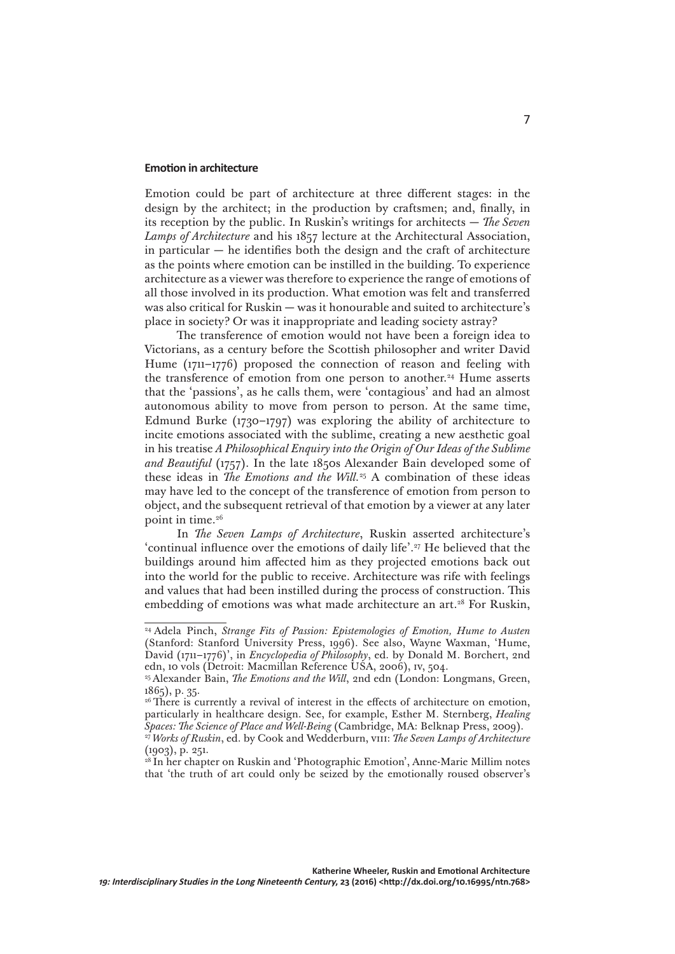#### **Emotion in architecture**

Emotion could be part of architecture at three different stages: in the design by the architect; in the production by craftsmen; and, finally, in its reception by the public. In Ruskin's writings for architects — *The Seven Lamps of Architecture* and his 1857 lecture at the Architectural Association, in particular  $-$  he identifies both the design and the craft of architecture as the points where emotion can be instilled in the building. To experience architecture as a viewer was therefore to experience the range of emotions of all those involved in its production. What emotion was felt and transferred was also critical for Ruskin — was it honourable and suited to architecture's place in society? Or was it inappropriate and leading society astray?

The transference of emotion would not have been a foreign idea to Victorians, as a century before the Scottish philosopher and writer David Hume (1711–1776) proposed the connection of reason and feeling with the transference of emotion from one person to another.<sup>24</sup> Hume asserts that the 'passions', as he calls them, were 'contagious' and had an almost autonomous ability to move from person to person. At the same time, Edmund Burke (1730–1797) was exploring the ability of architecture to incite emotions associated with the sublime, creating a new aesthetic goal in his treatise *A Philosophical Enquiry into the Origin of Our Ideas of the Sublime and Beautiful* (1757). In the late 1850s Alexander Bain developed some of these ideas in *The Emotions and the Will.*25 A combination of these ideas may have led to the concept of the transference of emotion from person to object, and the subsequent retrieval of that emotion by a viewer at any later point in time.<sup>26</sup>

In *The Seven Lamps of Architecture*, Ruskin asserted architecture's 'continual influence over the emotions of daily life'.<sup>27</sup> He believed that the buildings around him affected him as they projected emotions back out into the world for the public to receive. Architecture was rife with feelings and values that had been instilled during the process of construction. This embedding of emotions was what made architecture an art.<sup>28</sup> For Ruskin,

<sup>24</sup> Adela Pinch, *Strange Fits of Passion: Epistemologies of Emotion, Hume to Austen* (Stanford: Stanford University Press, 1996). See also, Wayne Waxman, 'Hume, David (1711–1776)', in *Encyclopedia of Philosophy*, ed. by Donald M. Borchert, 2nd edn, 10 vols (Detroit: Macmillan Reference USA, 2006), iv, 504.

<sup>&</sup>lt;sup>25</sup> Alexander Bain, *The Emotions and the Will*, 2nd edn (London: Longmans, Green, 1865), p. 35.

<sup>&</sup>lt;sup>26</sup> There is currently a revival of interest in the effects of architecture on emotion, particularly in healthcare design. See, for example, Esther M. Sternberg, *Healing Spaces: The Science of Place and Well-Being* (Cambridge, MA: Belknap Press, 2009). <sup>27</sup>*Works of Ruskin*, ed. by Cook and Wedderburn, viii: *The Seven Lamps of Architecture* 

<sup>(1903),</sup> p. 251.

<sup>&</sup>lt;sup>28</sup> In her chapter on Ruskin and 'Photographic Emotion', Anne-Marie Millim notes that 'the truth of art could only be seized by the emotionally roused observer's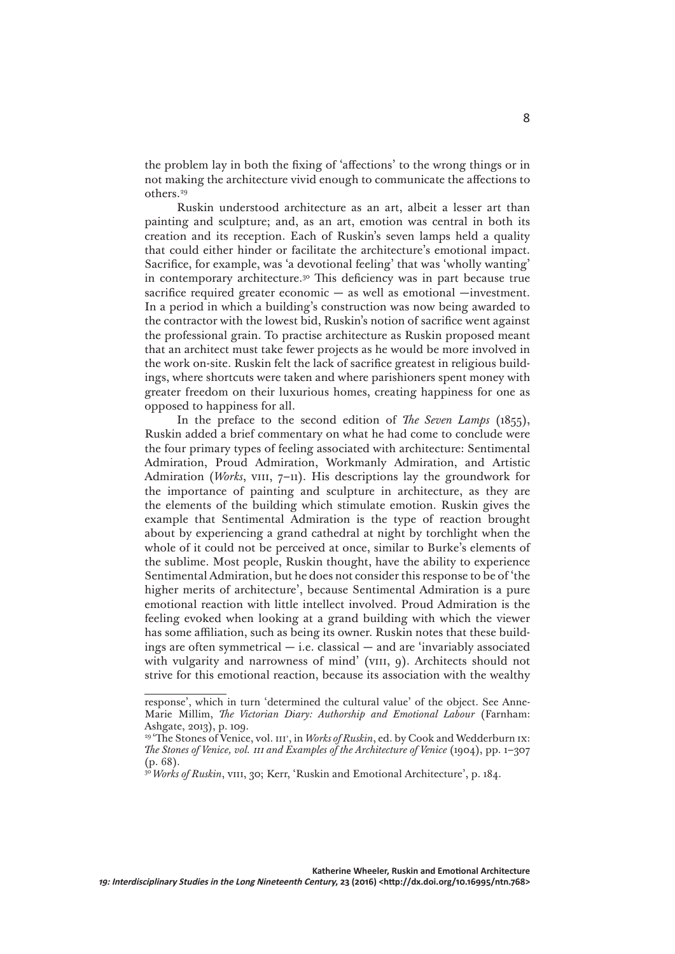the problem lay in both the fixing of 'affections' to the wrong things or in not making the architecture vivid enough to communicate the affections to others.29

Ruskin understood architecture as an art, albeit a lesser art than painting and sculpture; and, as an art, emotion was central in both its creation and its reception. Each of Ruskin's seven lamps held a quality that could either hinder or facilitate the architecture's emotional impact. Sacrifice, for example, was 'a devotional feeling' that was 'wholly wanting' in contemporary architecture.30 This deficiency was in part because true sacrifice required greater economic — as well as emotional —investment. In a period in which a building's construction was now being awarded to the contractor with the lowest bid, Ruskin's notion of sacrifice went against the professional grain. To practise architecture as Ruskin proposed meant that an architect must take fewer projects as he would be more involved in the work on-site. Ruskin felt the lack of sacrifice greatest in religious buildings, where shortcuts were taken and where parishioners spent money with greater freedom on their luxurious homes, creating happiness for one as opposed to happiness for all.

In the preface to the second edition of *The Seven Lamps* (1855), Ruskin added a brief commentary on what he had come to conclude were the four primary types of feeling associated with architecture: Sentimental Admiration, Proud Admiration, Workmanly Admiration, and Artistic Admiration (*Works*, VIII, 7-11). His descriptions lay the groundwork for the importance of painting and sculpture in architecture, as they are the elements of the building which stimulate emotion. Ruskin gives the example that Sentimental Admiration is the type of reaction brought about by experiencing a grand cathedral at night by torchlight when the whole of it could not be perceived at once, similar to Burke's elements of the sublime. Most people, Ruskin thought, have the ability to experience Sentimental Admiration, but he does not consider this response to be of 'the higher merits of architecture', because Sentimental Admiration is a pure emotional reaction with little intellect involved. Proud Admiration is the feeling evoked when looking at a grand building with which the viewer has some affiliation, such as being its owner. Ruskin notes that these buildings are often symmetrical — i.e. classical — and are 'invariably associated with vulgarity and narrowness of mind' (VIII, 9). Architects should not strive for this emotional reaction, because its association with the wealthy

response', which in turn 'determined the cultural value' of the object. See Anne-Marie Millim, *The Victorian Diary: Authorship and Emotional Labour* (Farnham: Ashgate, 2013), p. 109.

<sup>&</sup>lt;sup>29</sup> 'The Stones of Venice, vol. III', in *Works of Ruskin*, ed. by Cook and Wedderburn IX: *The Stones of Venice, vol.* iii *and Examples of the Architecture of Venice* (1904), pp. 1–307 (p. 68).

<sup>&</sup>lt;sup>30</sup> Works of Ruskin, VIII, 30; Kerr, 'Ruskin and Emotional Architecture', p. 184.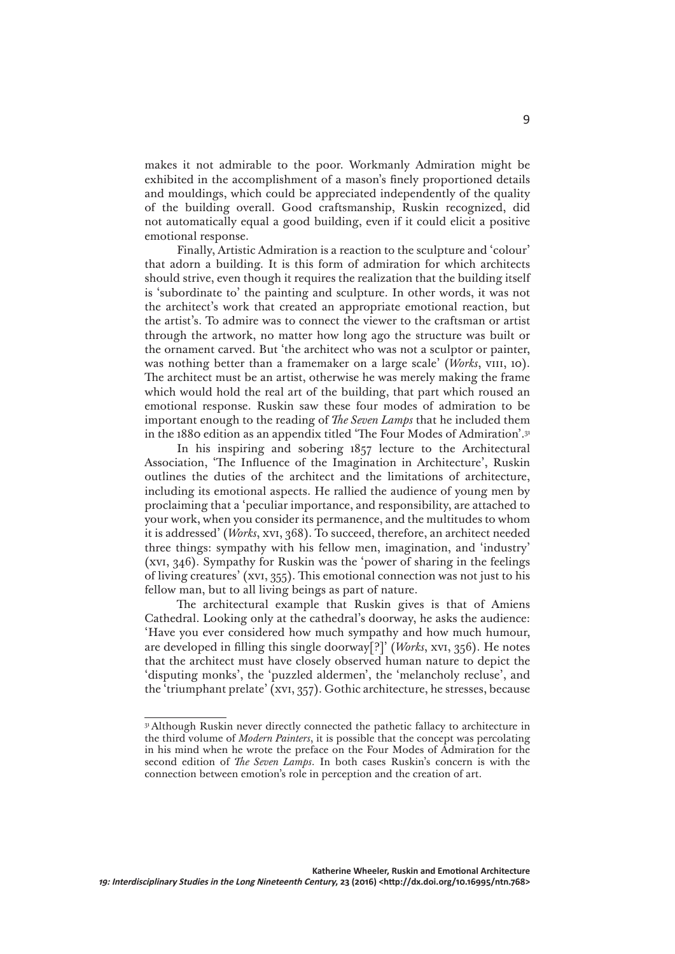makes it not admirable to the poor. Workmanly Admiration might be exhibited in the accomplishment of a mason's finely proportioned details and mouldings, which could be appreciated independently of the quality of the building overall. Good craftsmanship, Ruskin recognized, did not automatically equal a good building, even if it could elicit a positive emotional response.

Finally, Artistic Admiration is a reaction to the sculpture and 'colour' that adorn a building. It is this form of admiration for which architects should strive, even though it requires the realization that the building itself is 'subordinate to' the painting and sculpture. In other words, it was not the architect's work that created an appropriate emotional reaction, but the artist's. To admire was to connect the viewer to the craftsman or artist through the artwork, no matter how long ago the structure was built or the ornament carved. But 'the architect who was not a sculptor or painter, was nothing better than a framemaker on a large scale' (*Works*, VIII, 10). The architect must be an artist, otherwise he was merely making the frame which would hold the real art of the building, that part which roused an emotional response. Ruskin saw these four modes of admiration to be important enough to the reading of *The Seven Lamps* that he included them in the 1880 edition as an appendix titled 'The Four Modes of Admiration'.31

In his inspiring and sobering 1857 lecture to the Architectural Association, 'The Influence of the Imagination in Architecture', Ruskin outlines the duties of the architect and the limitations of architecture, including its emotional aspects. He rallied the audience of young men by proclaiming that a 'peculiar importance, and responsibility, are attached to your work, when you consider its permanence, and the multitudes to whom it is addressed' (*Works*, xvi, 368). To succeed, therefore, an architect needed three things: sympathy with his fellow men, imagination, and 'industry' (xvi, 346). Sympathy for Ruskin was the 'power of sharing in the feelings of living creatures' (xvi, 355). This emotional connection was not just to his fellow man, but to all living beings as part of nature.

The architectural example that Ruskin gives is that of Amiens Cathedral. Looking only at the cathedral's doorway, he asks the audience: 'Have you ever considered how much sympathy and how much humour, are developed in filling this single doorway[?]' (*Works*, xvi, 356). He notes that the architect must have closely observed human nature to depict the 'disputing monks', the 'puzzled aldermen', the 'melancholy recluse', and the 'triumphant prelate' (xvi, 357). Gothic architecture, he stresses, because

<sup>&</sup>lt;sup>31</sup> Although Ruskin never directly connected the pathetic fallacy to architecture in the third volume of *Modern Painters*, it is possible that the concept was percolating in his mind when he wrote the preface on the Four Modes of Admiration for the second edition of *The Seven Lamps*. In both cases Ruskin's concern is with the connection between emotion's role in perception and the creation of art.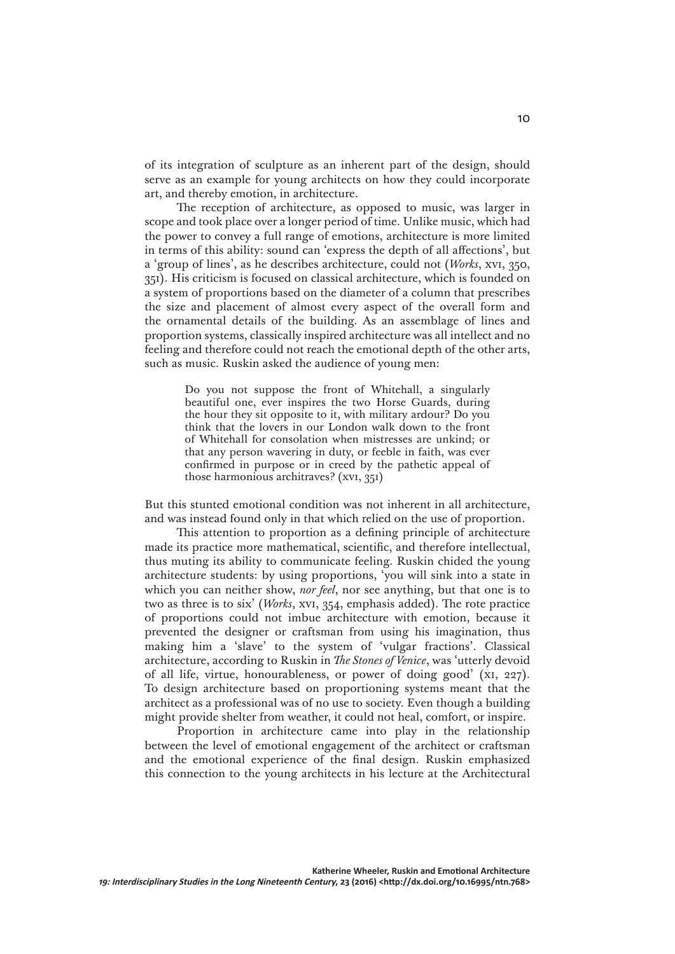of its integration of sculpture as an inherent part of the design, should serve as an example for young architects on how they could incorporate art, and thereby emotion, in architecture.

The reception of architecture, as opposed to music, was larger in scope and took place over a longer period of time. Unlike music, which had the power to convey a full range of emotions, architecture is more limited in terms of this ability: sound can 'express the depth of all affections', but a 'group of lines', as he describes architecture, could not (*Works*, xvi, 350, 351). His criticism is focused on classical architecture, which is founded on a system of proportions based on the diameter of a column that prescribes the size and placement of almost every aspect of the overall form and the ornamental details of the building. As an assemblage of lines and proportion systems, classically inspired architecture was all intellect and no feeling and therefore could not reach the emotional depth of the other arts, such as music. Ruskin asked the audience of young men:

> Do you not suppose the front of Whitehall, a singularly beautiful one, ever inspires the two Horse Guards, during the hour they sit opposite to it, with military ardour? Do you think that the lovers in our London walk down to the front of Whitehall for consolation when mistresses are unkind; or that any person wavering in duty, or feeble in faith, was ever confirmed in purpose or in creed by the pathetic appeal of those harmonious architraves? (xvi, 351)

But this stunted emotional condition was not inherent in all architecture, and was instead found only in that which relied on the use of proportion.

This attention to proportion as a defining principle of architecture made its practice more mathematical, scientific, and therefore intellectual, thus muting its ability to communicate feeling. Ruskin chided the young architecture students: by using proportions, 'you will sink into a state in which you can neither show, *nor feel*, nor see anything, but that one is to two as three is to six' (*Works*, xvi, 354, emphasis added). The rote practice of proportions could not imbue architecture with emotion, because it prevented the designer or craftsman from using his imagination, thus making him a 'slave' to the system of 'vulgar fractions'. Classical architecture, according to Ruskin in *The Stones of Venice*, was 'utterly devoid of all life, virtue, honourableness, or power of doing good' (xi, 227). To design architecture based on proportioning systems meant that the architect as a professional was of no use to society. Even though a building might provide shelter from weather, it could not heal, comfort, or inspire.

Proportion in architecture came into play in the relationship between the level of emotional engagement of the architect or craftsman and the emotional experience of the final design. Ruskin emphasized this connection to the young architects in his lecture at the Architectural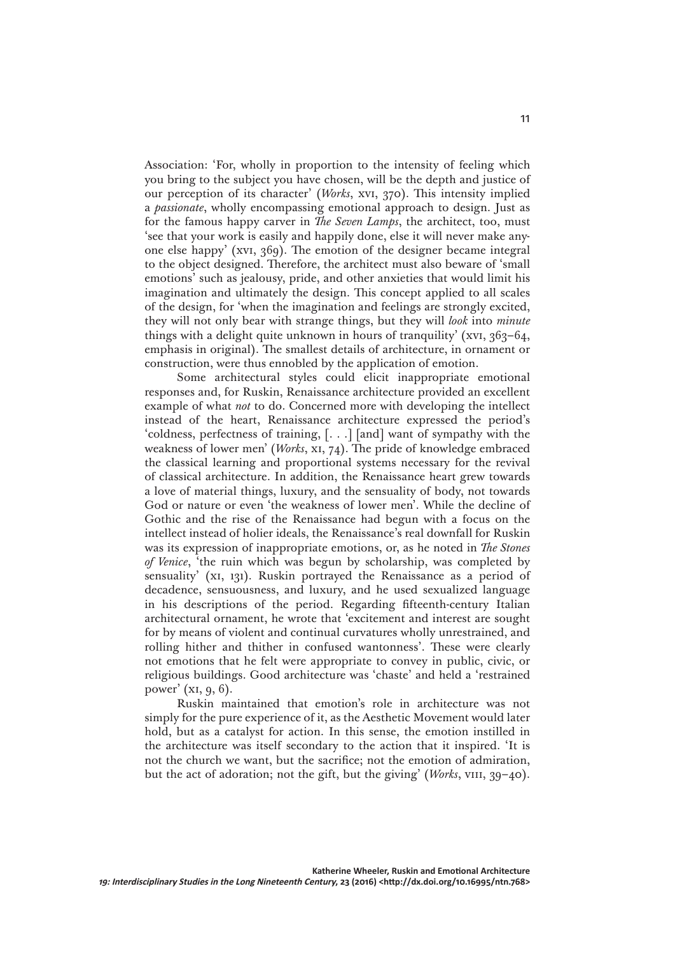Association: 'For, wholly in proportion to the intensity of feeling which you bring to the subject you have chosen, will be the depth and justice of our perception of its character' (*Works*, xvi, 370). This intensity implied a *passionate*, wholly encompassing emotional approach to design. Just as for the famous happy carver in *The Seven Lamps*, the architect, too, must 'see that your work is easily and happily done, else it will never make anyone else happy' (xvi, 369). The emotion of the designer became integral to the object designed. Therefore, the architect must also beware of 'small emotions' such as jealousy, pride, and other anxieties that would limit his imagination and ultimately the design. This concept applied to all scales of the design, for 'when the imagination and feelings are strongly excited, they will not only bear with strange things, but they will *look* into *minute* things with a delight quite unknown in hours of tranquility' (xvi,  $363-64$ , emphasis in original). The smallest details of architecture, in ornament or construction, were thus ennobled by the application of emotion.

Some architectural styles could elicit inappropriate emotional responses and, for Ruskin, Renaissance architecture provided an excellent example of what *not* to do. Concerned more with developing the intellect instead of the heart, Renaissance architecture expressed the period's 'coldness, perfectness of training, [. . .] [and] want of sympathy with the weakness of lower men' (*Works*, xi, 74). The pride of knowledge embraced the classical learning and proportional systems necessary for the revival of classical architecture. In addition, the Renaissance heart grew towards a love of material things, luxury, and the sensuality of body, not towards God or nature or even 'the weakness of lower men'. While the decline of Gothic and the rise of the Renaissance had begun with a focus on the intellect instead of holier ideals, the Renaissance's real downfall for Ruskin was its expression of inappropriate emotions, or, as he noted in *The Stones of Venice*, 'the ruin which was begun by scholarship, was completed by sensuality' (xi, 131). Ruskin portrayed the Renaissance as a period of decadence, sensuousness, and luxury, and he used sexualized language in his descriptions of the period. Regarding fifteenth-century Italian architectural ornament, he wrote that 'excitement and interest are sought for by means of violent and continual curvatures wholly unrestrained, and rolling hither and thither in confused wantonness'. These were clearly not emotions that he felt were appropriate to convey in public, civic, or religious buildings. Good architecture was 'chaste' and held a 'restrained power' (xi, 9, 6).

Ruskin maintained that emotion's role in architecture was not simply for the pure experience of it, as the Aesthetic Movement would later hold, but as a catalyst for action. In this sense, the emotion instilled in the architecture was itself secondary to the action that it inspired. 'It is not the church we want, but the sacrifice; not the emotion of admiration, but the act of adoration; not the gift, but the giving' (*Works*, VIII, 39–40).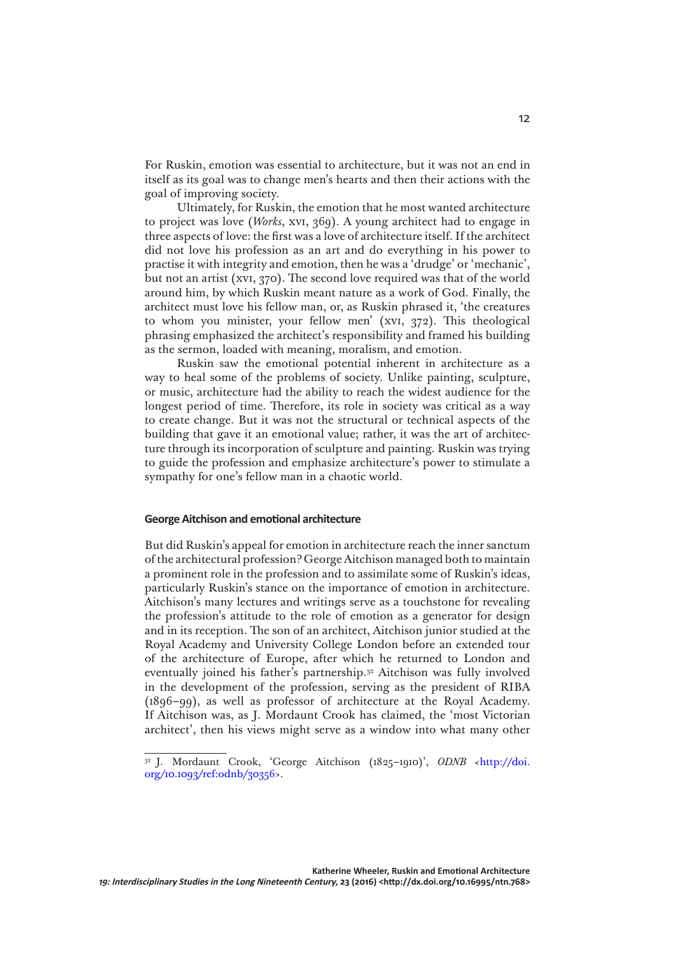For Ruskin, emotion was essential to architecture, but it was not an end in itself as its goal was to change men's hearts and then their actions with the goal of improving society.

Ultimately, for Ruskin, the emotion that he most wanted architecture to project was love (*Works*, xvi, 369). A young architect had to engage in three aspects of love: the first was a love of architecture itself. If the architect did not love his profession as an art and do everything in his power to practise it with integrity and emotion, then he was a 'drudge' or 'mechanic', but not an artist (xvi, 370). The second love required was that of the world around him, by which Ruskin meant nature as a work of God. Finally, the architect must love his fellow man, or, as Ruskin phrased it, 'the creatures to whom you minister, your fellow men' (xvi, 372). This theological phrasing emphasized the architect's responsibility and framed his building as the sermon, loaded with meaning, moralism, and emotion.

Ruskin saw the emotional potential inherent in architecture as a way to heal some of the problems of society. Unlike painting, sculpture, or music, architecture had the ability to reach the widest audience for the longest period of time. Therefore, its role in society was critical as a way to create change. But it was not the structural or technical aspects of the building that gave it an emotional value; rather, it was the art of architecture through its incorporation of sculpture and painting. Ruskin was trying to guide the profession and emphasize architecture's power to stimulate a sympathy for one's fellow man in a chaotic world.

#### **George Aitchison and emotional architecture**

But did Ruskin's appeal for emotion in architecture reach the inner sanctum of the architectural profession? George Aitchison managed both to maintain a prominent role in the profession and to assimilate some of Ruskin's ideas, particularly Ruskin's stance on the importance of emotion in architecture. Aitchison's many lectures and writings serve as a touchstone for revealing the profession's attitude to the role of emotion as a generator for design and in its reception. The son of an architect, Aitchison junior studied at the Royal Academy and University College London before an extended tour of the architecture of Europe, after which he returned to London and eventually joined his father's partnership.32 Aitchison was fully involved in the development of the profession, serving as the president of RIBA (1896–99), as well as professor of architecture at the Royal Academy. If Aitchison was, as J. Mordaunt Crook has claimed, the 'most Victorian architect', then his views might serve as a window into what many other

<sup>32</sup> J. Mordaunt Crook, 'George Aitchison (1825–1910)', *ODNB <*[http://doi.](http://doi.org/10.1093/ref:odnb/30356) [org/10.1093/ref:odnb/30356>](http://doi.org/10.1093/ref:odnb/30356).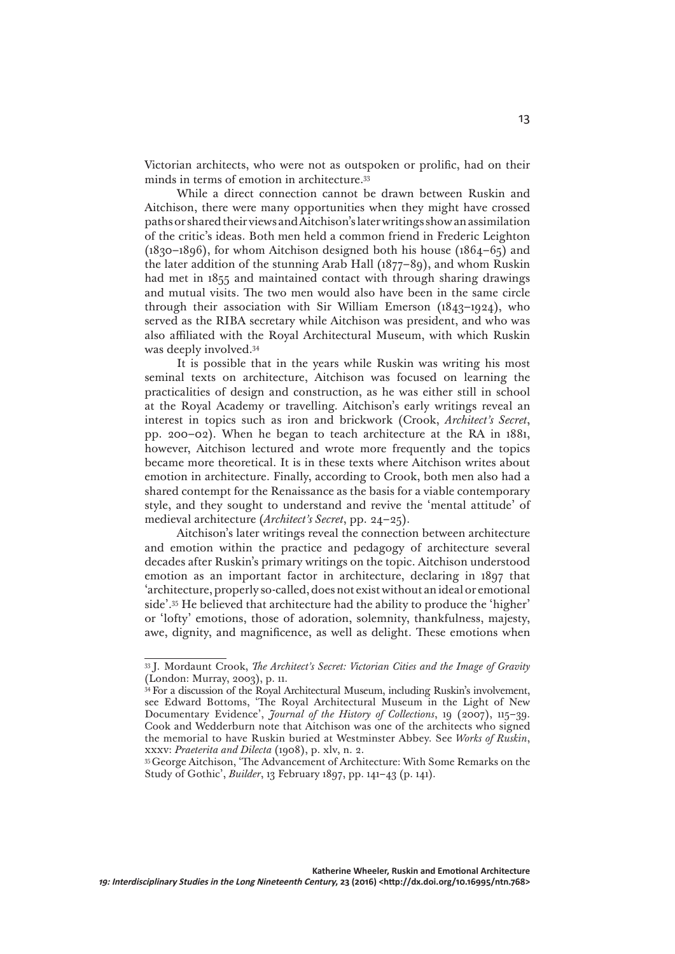Victorian architects, who were not as outspoken or prolific, had on their minds in terms of emotion in architecture.33

While a direct connection cannot be drawn between Ruskin and Aitchison, there were many opportunities when they might have crossed paths or shared their views and Aitchison's later writings show an assimilation of the critic's ideas. Both men held a common friend in Frederic Leighton (1830–1896), for whom Aitchison designed both his house (1864–65) and the later addition of the stunning Arab Hall (1877–89), and whom Ruskin had met in 1855 and maintained contact with through sharing drawings and mutual visits. The two men would also have been in the same circle through their association with Sir William Emerson (1843–1924), who served as the RIBA secretary while Aitchison was president, and who was also affiliated with the Royal Architectural Museum, with which Ruskin was deeply involved.34

It is possible that in the years while Ruskin was writing his most seminal texts on architecture, Aitchison was focused on learning the practicalities of design and construction, as he was either still in school at the Royal Academy or travelling. Aitchison's early writings reveal an interest in topics such as iron and brickwork (Crook, *Architect's Secret*, pp. 200–02). When he began to teach architecture at the RA in 1881, however, Aitchison lectured and wrote more frequently and the topics became more theoretical. It is in these texts where Aitchison writes about emotion in architecture. Finally, according to Crook, both men also had a shared contempt for the Renaissance as the basis for a viable contemporary style, and they sought to understand and revive the 'mental attitude' of medieval architecture (*Architect's Secret*, pp. 24–25).

Aitchison's later writings reveal the connection between architecture and emotion within the practice and pedagogy of architecture several decades after Ruskin's primary writings on the topic. Aitchison understood emotion as an important factor in architecture, declaring in 1897 that 'architecture, properly so-called, does not exist without an ideal or emotional side'.35 He believed that architecture had the ability to produce the 'higher' or 'lofty' emotions, those of adoration, solemnity, thankfulness, majesty, awe, dignity, and magnificence, as well as delight. These emotions when

<sup>33</sup> J. Mordaunt Crook, *The Architect's Secret: Victorian Cities and the Image of Gravity* (London: Murray, 2003), p. 11.

<sup>&</sup>lt;sup>34</sup> For a discussion of the Royal Architectural Museum, including Ruskin's involvement, see Edward Bottoms, 'The Royal Architectural Museum in the Light of New Documentary Evidence', *Journal of the History of Collections*, 19 (2007), 115–39. Cook and Wedderburn note that Aitchison was one of the architects who signed the memorial to have Ruskin buried at Westminster Abbey. See *Works of Ruskin*, xxxv: *Praeterita and Dilecta* (1908), p. xlv, n. 2.

<sup>&</sup>lt;sup>35</sup> George Aitchison, 'The Advancement of Architecture: With Some Remarks on the Study of Gothic', *Builder*, 13 February 1897, pp. 141–43 (p. 141).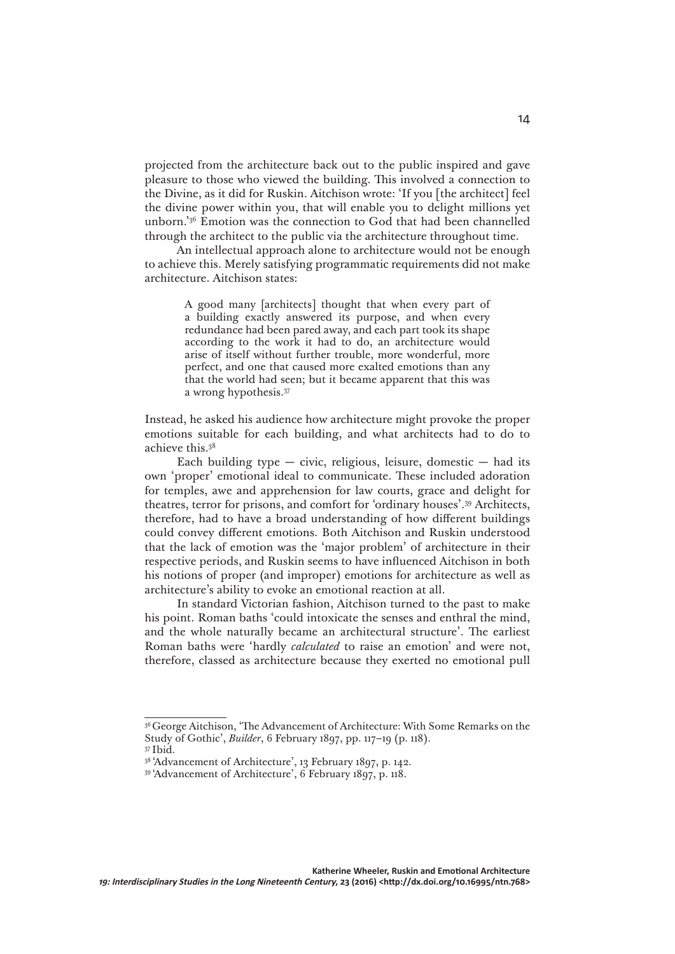projected from the architecture back out to the public inspired and gave pleasure to those who viewed the building. This involved a connection to the Divine, as it did for Ruskin. Aitchison wrote: 'If you [the architect] feel the divine power within you, that will enable you to delight millions yet unborn.'36 Emotion was the connection to God that had been channelled through the architect to the public via the architecture throughout time.

An intellectual approach alone to architecture would not be enough to achieve this. Merely satisfying programmatic requirements did not make architecture. Aitchison states:

> A good many [architects] thought that when every part of a building exactly answered its purpose, and when every redundance had been pared away, and each part took its shape according to the work it had to do, an architecture would arise of itself without further trouble, more wonderful, more perfect, and one that caused more exalted emotions than any that the world had seen; but it became apparent that this was a wrong hypothesis.37

Instead, he asked his audience how architecture might provoke the proper emotions suitable for each building, and what architects had to do to achieve this.38

Each building type  $-$  civic, religious, leisure, domestic  $-$  had its own 'proper' emotional ideal to communicate. These included adoration for temples, awe and apprehension for law courts, grace and delight for theatres, terror for prisons, and comfort for 'ordinary houses'.39 Architects, therefore, had to have a broad understanding of how different buildings could convey different emotions. Both Aitchison and Ruskin understood that the lack of emotion was the 'major problem' of architecture in their respective periods, and Ruskin seems to have influenced Aitchison in both his notions of proper (and improper) emotions for architecture as well as architecture's ability to evoke an emotional reaction at all.

In standard Victorian fashion, Aitchison turned to the past to make his point. Roman baths 'could intoxicate the senses and enthral the mind, and the whole naturally became an architectural structure'. The earliest Roman baths were 'hardly *calculated* to raise an emotion' and were not, therefore, classed as architecture because they exerted no emotional pull

<sup>&</sup>lt;sup>36</sup> George Aitchison, 'The Advancement of Architecture: With Some Remarks on the Study of Gothic', *Builder*, 6 February 1897, pp. 117–19 (p. 118).

<sup>37</sup> Ibid.

<sup>38 &#</sup>x27;Advancement of Architecture', 13 February 1897, p. 142.

<sup>39 &#</sup>x27;Advancement of Architecture', 6 February 1897, p. 118.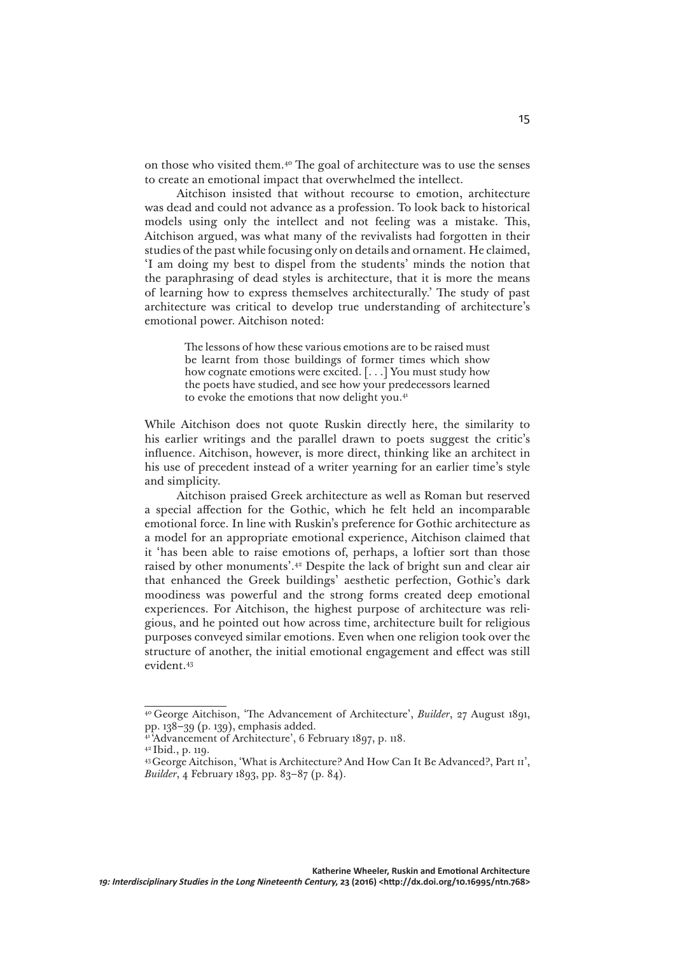on those who visited them.40 The goal of architecture was to use the senses to create an emotional impact that overwhelmed the intellect.

Aitchison insisted that without recourse to emotion, architecture was dead and could not advance as a profession. To look back to historical models using only the intellect and not feeling was a mistake. This, Aitchison argued, was what many of the revivalists had forgotten in their studies of the past while focusing only on details and ornament. He claimed, 'I am doing my best to dispel from the students' minds the notion that the paraphrasing of dead styles is architecture, that it is more the means of learning how to express themselves architecturally.' The study of past architecture was critical to develop true understanding of architecture's emotional power. Aitchison noted:

> The lessons of how these various emotions are to be raised must be learnt from those buildings of former times which show how cognate emotions were excited. [. . .] You must study how the poets have studied, and see how your predecessors learned to evoke the emotions that now delight you.<sup>41</sup>

While Aitchison does not quote Ruskin directly here, the similarity to his earlier writings and the parallel drawn to poets suggest the critic's influence. Aitchison, however, is more direct, thinking like an architect in his use of precedent instead of a writer yearning for an earlier time's style and simplicity.

Aitchison praised Greek architecture as well as Roman but reserved a special affection for the Gothic, which he felt held an incomparable emotional force. In line with Ruskin's preference for Gothic architecture as a model for an appropriate emotional experience, Aitchison claimed that it 'has been able to raise emotions of, perhaps, a loftier sort than those raised by other monuments'.42 Despite the lack of bright sun and clear air that enhanced the Greek buildings' aesthetic perfection, Gothic's dark moodiness was powerful and the strong forms created deep emotional experiences. For Aitchison, the highest purpose of architecture was religious, and he pointed out how across time, architecture built for religious purposes conveyed similar emotions. Even when one religion took over the structure of another, the initial emotional engagement and effect was still evident.43

<sup>40</sup> George Aitchison, 'The Advancement of Architecture', *Builder*, 27 August 1891, pp. 138–39 (p. 139), emphasis added.

<sup>&</sup>lt;sup>1</sup>Advancement of Architecture', 6 February 1897, p. 118.

<sup>42</sup> Ibid., p. 119.

<sup>43</sup> George Aitchison, 'What is Architecture? And How Can It Be Advanced?, Part ii', *Builder*, 4 February 1893, pp. 83–87 (p. 84).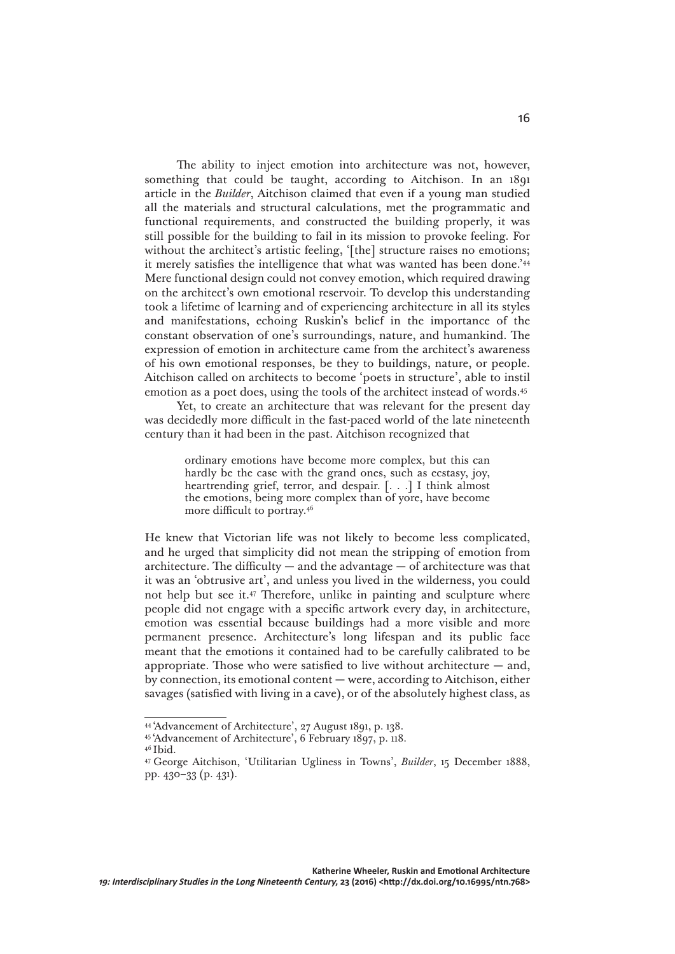The ability to inject emotion into architecture was not, however, something that could be taught, according to Aitchison. In an 1891 article in the *Builder*, Aitchison claimed that even if a young man studied all the materials and structural calculations, met the programmatic and functional requirements, and constructed the building properly, it was still possible for the building to fail in its mission to provoke feeling. For without the architect's artistic feeling, '[the] structure raises no emotions; it merely satisfies the intelligence that what was wanted has been done.'44 Mere functional design could not convey emotion, which required drawing on the architect's own emotional reservoir. To develop this understanding took a lifetime of learning and of experiencing architecture in all its styles and manifestations, echoing Ruskin's belief in the importance of the constant observation of one's surroundings, nature, and humankind. The expression of emotion in architecture came from the architect's awareness of his own emotional responses, be they to buildings, nature, or people. Aitchison called on architects to become 'poets in structure', able to instil emotion as a poet does, using the tools of the architect instead of words.45

Yet, to create an architecture that was relevant for the present day was decidedly more difficult in the fast-paced world of the late nineteenth century than it had been in the past. Aitchison recognized that

> ordinary emotions have become more complex, but this can hardly be the case with the grand ones, such as ecstasy, joy, heartrending grief, terror, and despair. [. . .] I think almost the emotions, being more complex than of yore, have become more difficult to portray.46

He knew that Victorian life was not likely to become less complicated, and he urged that simplicity did not mean the stripping of emotion from architecture. The difficulty  $-$  and the advantage  $-$  of architecture was that it was an 'obtrusive art', and unless you lived in the wilderness, you could not help but see it.47 Therefore, unlike in painting and sculpture where people did not engage with a specific artwork every day, in architecture, emotion was essential because buildings had a more visible and more permanent presence. Architecture's long lifespan and its public face meant that the emotions it contained had to be carefully calibrated to be appropriate. Those who were satisfied to live without architecture  $-$  and, by connection, its emotional content — were, according to Aitchison, either savages (satisfied with living in a cave), or of the absolutely highest class, as

<sup>44 &#</sup>x27;Advancement of Architecture', 27 August 1891, p. 138.

<sup>45 &#</sup>x27;Advancement of Architecture', 6 February 1897, p. 118.

<sup>46</sup> Ibid.

<sup>47</sup> George Aitchison, 'Utilitarian Ugliness in Towns', *Builder*, 15 December 1888, pp. 430–33 (p. 431).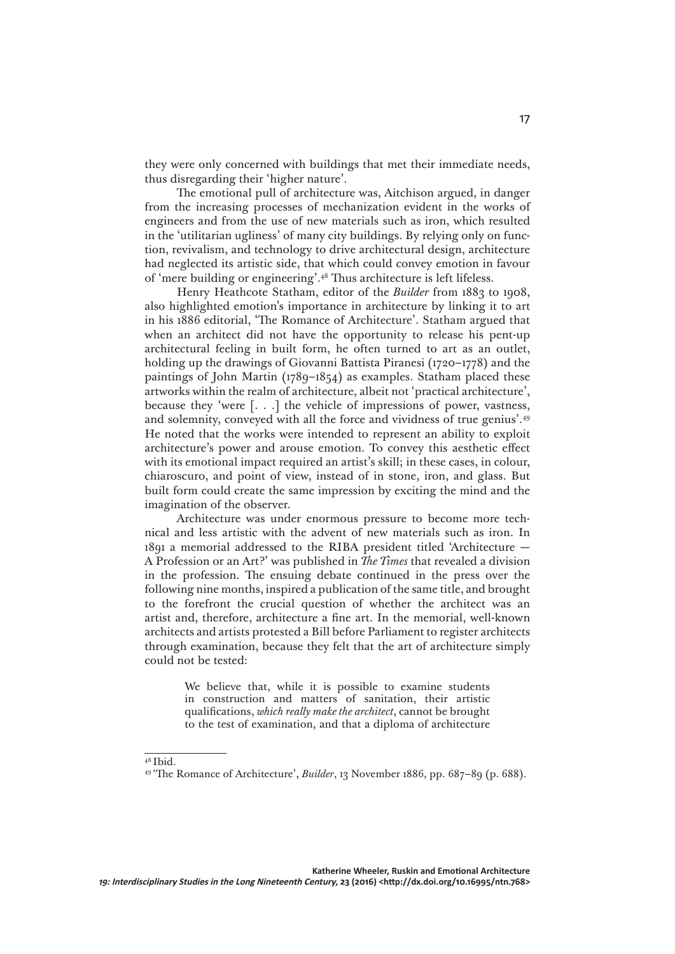they were only concerned with buildings that met their immediate needs, thus disregarding their 'higher nature'.

The emotional pull of architecture was, Aitchison argued, in danger from the increasing processes of mechanization evident in the works of engineers and from the use of new materials such as iron, which resulted in the 'utilitarian ugliness' of many city buildings. By relying only on function, revivalism, and technology to drive architectural design, architecture had neglected its artistic side, that which could convey emotion in favour of 'mere building or engineering'.48 Thus architecture is left lifeless.

Henry Heathcote Statham, editor of the *Builder* from 1883 to 1908, also highlighted emotion's importance in architecture by linking it to art in his 1886 editorial, 'The Romance of Architecture'. Statham argued that when an architect did not have the opportunity to release his pent-up architectural feeling in built form, he often turned to art as an outlet, holding up the drawings of Giovanni Battista Piranesi (1720–1778) and the paintings of John Martin (1789–1854) as examples. Statham placed these artworks within the realm of architecture, albeit not 'practical architecture', because they 'were [. . .] the vehicle of impressions of power, vastness, and solemnity, conveyed with all the force and vividness of true genius'.49 He noted that the works were intended to represent an ability to exploit architecture's power and arouse emotion. To convey this aesthetic effect with its emotional impact required an artist's skill; in these cases, in colour, chiaroscuro, and point of view, instead of in stone, iron, and glass. But built form could create the same impression by exciting the mind and the imagination of the observer.

Architecture was under enormous pressure to become more technical and less artistic with the advent of new materials such as iron. In 1891 a memorial addressed to the RIBA president titled 'Architecture — A Profession or an Art?' was published in *The Times* that revealed a division in the profession. The ensuing debate continued in the press over the following nine months, inspired a publication of the same title, and brought to the forefront the crucial question of whether the architect was an artist and, therefore, architecture a fine art. In the memorial, well-known architects and artists protested a Bill before Parliament to register architects through examination, because they felt that the art of architecture simply could not be tested:

> We believe that, while it is possible to examine students in construction and matters of sanitation, their artistic qualifications, *which really make the architect*, cannot be brought to the test of examination, and that a diploma of architecture

<sup>48</sup> Ibid.

<sup>49 &#</sup>x27;The Romance of Architecture', *Builder*, 13 November 1886, pp. 687–89 (p. 688).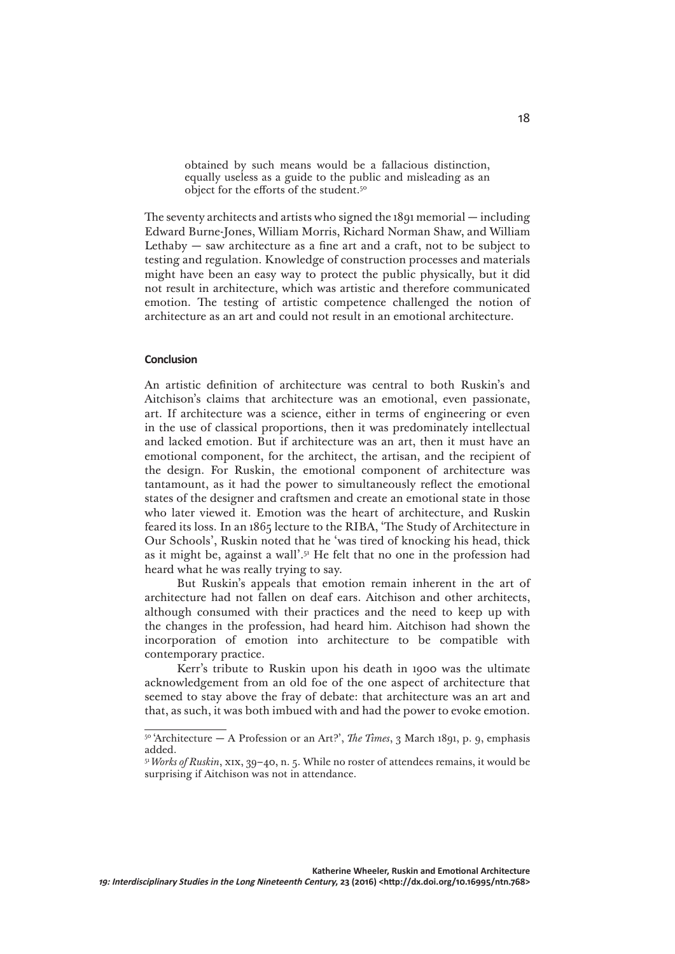obtained by such means would be a fallacious distinction, equally useless as a guide to the public and misleading as an object for the efforts of the student.50

The seventy architects and artists who signed the 1891 memorial — including Edward Burne-Jones, William Morris, Richard Norman Shaw, and William Lethaby  $-$  saw architecture as a fine art and a craft, not to be subject to testing and regulation. Knowledge of construction processes and materials might have been an easy way to protect the public physically, but it did not result in architecture, which was artistic and therefore communicated emotion. The testing of artistic competence challenged the notion of architecture as an art and could not result in an emotional architecture.

## **Conclusion**

An artistic definition of architecture was central to both Ruskin's and Aitchison's claims that architecture was an emotional, even passionate, art. If architecture was a science, either in terms of engineering or even in the use of classical proportions, then it was predominately intellectual and lacked emotion. But if architecture was an art, then it must have an emotional component, for the architect, the artisan, and the recipient of the design. For Ruskin, the emotional component of architecture was tantamount, as it had the power to simultaneously reflect the emotional states of the designer and craftsmen and create an emotional state in those who later viewed it. Emotion was the heart of architecture, and Ruskin feared its loss. In an 1865 lecture to the RIBA, 'The Study of Architecture in Our Schools', Ruskin noted that he 'was tired of knocking his head, thick as it might be, against a wall'.51 He felt that no one in the profession had heard what he was really trying to say.

But Ruskin's appeals that emotion remain inherent in the art of architecture had not fallen on deaf ears. Aitchison and other architects, although consumed with their practices and the need to keep up with the changes in the profession, had heard him. Aitchison had shown the incorporation of emotion into architecture to be compatible with contemporary practice.

Kerr's tribute to Ruskin upon his death in 1900 was the ultimate acknowledgement from an old foe of the one aspect of architecture that seemed to stay above the fray of debate: that architecture was an art and that, as such, it was both imbued with and had the power to evoke emotion.

 $50$ <sup>6</sup> 'Architecture — A Profession or an Art?', *The Times*, 3 March 1891, p. 9, emphasis added.

<sup>51</sup>*Works of Ruskin*, xix, 39–40, n. 5. While no roster of attendees remains, it would be surprising if Aitchison was not in attendance.